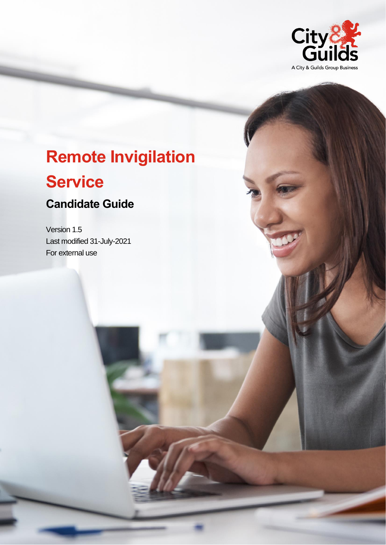

# **Remote Invigilation**

## **Service**

### **Candidate Guide**

Version 1.5 Last modified 31-July-2021 For external use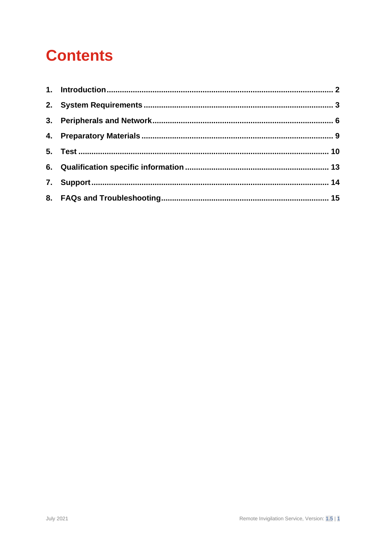# **Contents**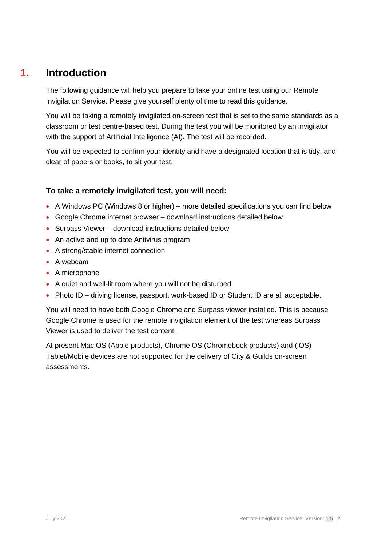### **1. Introduction**

<span id="page-2-0"></span>The following guidance will help you prepare to take your online test using our Remote Invigilation Service. Please give yourself plenty of time to read this guidance.

You will be taking a remotely invigilated on-screen test that is set to the same standards as a classroom or test centre-based test. During the test you will be monitored by an invigilator with the support of Artificial Intelligence (AI). The test will be recorded.

You will be expected to confirm your identity and have a designated location that is tidy, and clear of papers or books, to sit your test.

### **To take a remotely invigilated test, you will need:**

- A Windows PC (Windows 8 or higher) more detailed specifications you can find below
- Google Chrome internet browser download instructions detailed below
- Surpass Viewer download instructions detailed below
- An active and up to date Antivirus program
- A strong/stable internet connection
- A webcam
- A microphone
- A quiet and well-lit room where you will not be disturbed
- Photo ID driving license, passport, work-based ID or Student ID are all acceptable.

You will need to have both Google Chrome and Surpass viewer installed. This is because Google Chrome is used for the remote invigilation element of the test whereas Surpass Viewer is used to deliver the test content.

At present Mac OS (Apple products), Chrome OS (Chromebook products) and (iOS) Tablet/Mobile devices are not supported for the delivery of City & Guilds on-screen assessments.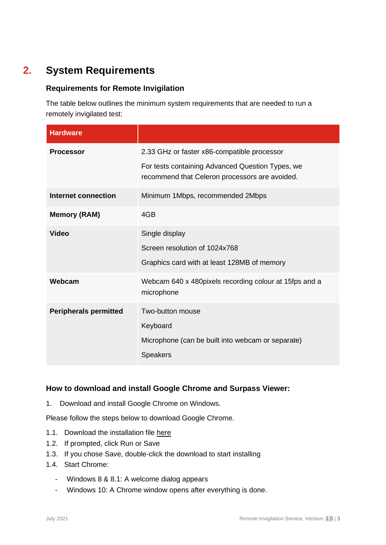### **2. System Requirements**

### <span id="page-3-0"></span>**Requirements for Remote Invigilation**

The table below outlines the minimum system requirements that are needed to run a remotely invigilated test:

| <b>Hardware</b>              |                                                                                                                                                   |
|------------------------------|---------------------------------------------------------------------------------------------------------------------------------------------------|
| <b>Processor</b>             | 2.33 GHz or faster x86-compatible processor<br>For tests containing Advanced Question Types, we<br>recommend that Celeron processors are avoided. |
| Internet connection          | Minimum 1Mbps, recommended 2Mbps                                                                                                                  |
| <b>Memory (RAM)</b>          | 4GB                                                                                                                                               |
| <b>Video</b>                 | Single display<br>Screen resolution of 1024x768<br>Graphics card with at least 128MB of memory                                                    |
| Webcam                       | Webcam 640 x 480 pixels recording colour at 15 fps and a<br>microphone                                                                            |
| <b>Peripherals permitted</b> | Two-button mouse<br>Keyboard<br>Microphone (can be built into webcam or separate)<br><b>Speakers</b>                                              |

### **How to download and install Google Chrome and Surpass Viewer:**

1. Download and install Google Chrome on Windows.

Please follow the steps below to download Google Chrome.

- 1.1. Download the installation file [here](https://www.google.com/chrome/browser/desktop/index.html)
- 1.2. If prompted, click Run or Save
- 1.3. If you chose Save, double-click the download to start installing
- 1.4. Start Chrome:
	- Windows 8 & 8.1: A welcome dialog appears
	- Windows 10: A Chrome window opens after everything is done.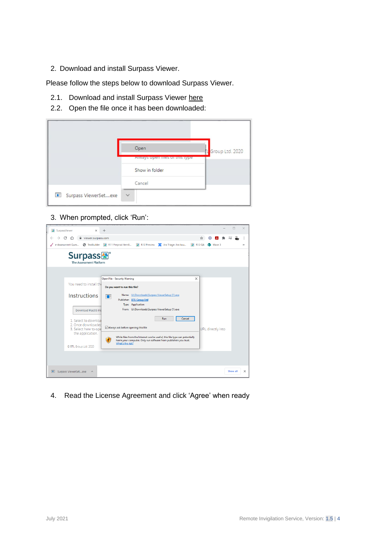2. Download and install Surpass Viewer.

Please follow the steps below to download Surpass Viewer.

- 2.1. Download and install Surpass Viewer [here](https://viewer.surpass.com/win32/Surpass%20ViewerSetup.exe)
- 2.2. Open the file once it has been downloaded:

|                      | Open                          | <b>TL</b> Group Ltd. 2020 |
|----------------------|-------------------------------|---------------------------|
|                      | Always open nies of this type |                           |
|                      | Show in folder                |                           |
|                      | Cancel                        |                           |
| Surpass ViewerSetexe | $\checkmark$                  |                           |

### 3. When prompted, click 'Run':

| <b>※</b> SurpassViewer<br>$\times$                                                      | $+$                                                                                                                          |                   |                 |          |          |
|-----------------------------------------------------------------------------------------|------------------------------------------------------------------------------------------------------------------------------|-------------------|-----------------|----------|----------|
| viewer.surpass.com                                                                      |                                                                                                                              | ☆                 |                 |          |          |
| e-Assessment Ques                                                                       | S TestBuilder M R11 Preprod ItemB<br>R12 Preview<br>Jira Triage: Jira Issu<br><b>经 R12 QA</b>                                |                   | <b>B</b> Wave 3 |          | y,       |
| <b>Surpass</b><br>The Assessment Platform                                               |                                                                                                                              |                   |                 |          |          |
|                                                                                         |                                                                                                                              |                   |                 |          |          |
| You need to install the                                                                 | <b>Open File - Security Warning</b><br>$\times$<br>Do you want to run this file?                                             |                   |                 |          |          |
| <b>Instructions</b>                                                                     | Name: U:\Downloads\Surpass ViewerSetup (1).exe<br>间 目<br>Publisher: BTL Group Ltd<br>Type: Application                       |                   |                 |          |          |
| <b>Download MacOS Ins</b>                                                               | From: U:\Downloads\Surpass ViewerSetup (1).exe<br>Run                                                                        |                   |                 |          |          |
| 1. Select to downloa<br>2. Once downloaded<br>3. Select here to ope<br>the application. | Cancel<br>Always ask before opening this file<br>While files from the Internet can be useful, this file type can potentially | URL directly into |                 |          |          |
| C BTL Group Ltd. 2020                                                                   | harm your computer. Only run software from publishers you trust.<br>What's the risk?                                         |                   |                 |          |          |
|                                                                                         |                                                                                                                              |                   |                 |          |          |
| Surpass ViewerSetexe                                                                    |                                                                                                                              |                   |                 | Show all | $\times$ |

4. Read the License Agreement and click 'Agree' when ready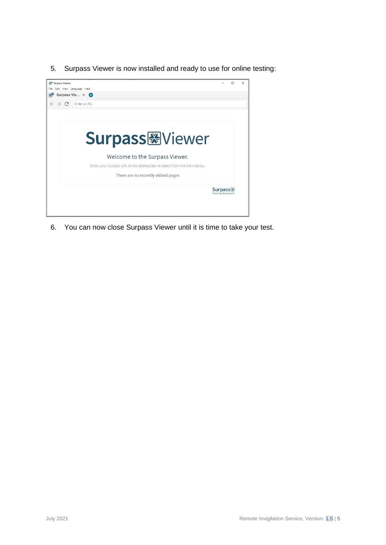5. Surpass Viewer is now installed and ready to use for online testing:



6. You can now close Surpass Viewer until it is time to take your test.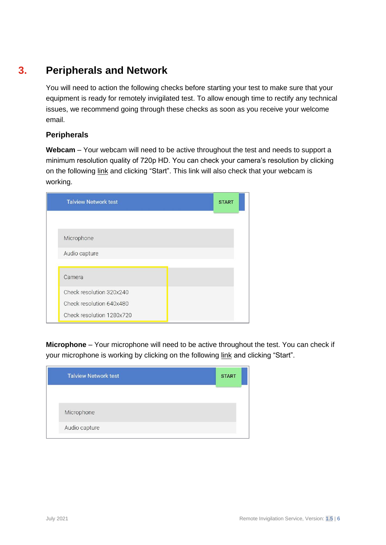### **3. Peripherals and Network**

<span id="page-6-0"></span>You will need to action the following checks before starting your test to make sure that your equipment is ready for remotely invigilated test. To allow enough time to rectify any technical issues, we recommend going through these checks as soon as you receive your welcome email.

### **Peripherals**

**Webcam** – Your webcam will need to be active throughout the test and needs to support a minimum resolution quality of 720p HD. You can check your camera's resolution by clicking on the following [link](https://network-test.talview.com/) and clicking "Start". This link will also check that your webcam is working.

| <b>Talview Network test</b> | <b>START</b> |
|-----------------------------|--------------|
|                             |              |
| Microphone                  |              |
| Audio capture               |              |
| Camera                      |              |
| Check resolution 320x240    |              |
| Check resolution 640x480    |              |
| Check resolution 1280x720   |              |

**Microphone** – Your microphone will need to be active throughout the test. You can check if your microphone is working by clicking on the following [link](https://network-test.talview.com/) and clicking "Start".

| <b>Talview Network test</b> | <b>START</b> |
|-----------------------------|--------------|
|                             |              |
| Microphone                  |              |
| Audio capture               |              |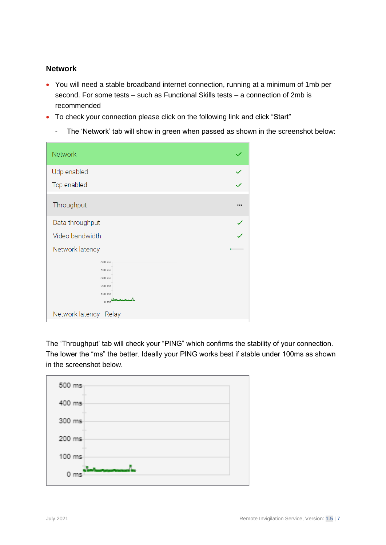### **Network**

- You will need a stable broadband internet connection, running at a minimum of 1mb per second. For some tests – such as Functional Skills tests – a connection of 2mb is recommended
- To check your connection please click on the following [link](https://network-test.talview.com/) and click "Start"
	- The 'Network' tab will show in green when passed as shown in the screenshot below:

| <b>Network</b>                                                                               |   |
|----------------------------------------------------------------------------------------------|---|
| Udp enabled                                                                                  | ✓ |
| Tcp enabled                                                                                  |   |
| Throughput                                                                                   |   |
| Data throughput                                                                              |   |
| Video bandwidth                                                                              |   |
| Network latency                                                                              |   |
| 500 ms<br>400 ms<br>300 ms<br>200 ms<br>100 ms<br>0 <sub>ms</sub><br>Network latency - Relay |   |

The 'Throughput' tab will check your "PING" which confirms the stability of your connection. The lower the "ms" the better. Ideally your PING works best if stable under 100ms as shown in the screenshot below.

| 500 ms                  |                        |  |  |
|-------------------------|------------------------|--|--|
| <b>THE</b><br>400 ms    |                        |  |  |
| <b>All Co</b><br>300 ms |                        |  |  |
| <b>All Co</b><br>200 ms |                        |  |  |
| <b>Allen</b><br>100 ms  |                        |  |  |
| $0$ ms $\overline{1}$   | <b>Control General</b> |  |  |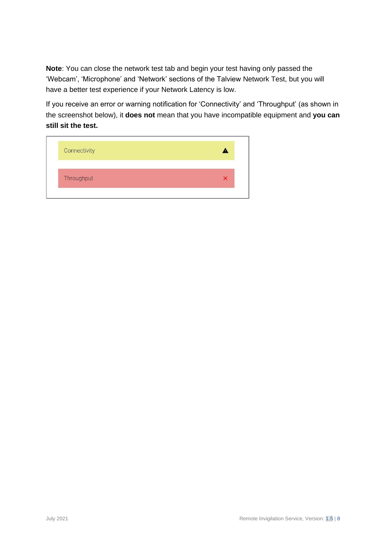**Note**: You can close the network test tab and begin your test having only passed the 'Webcam', 'Microphone' and 'Network' sections of the Talview Network Test, but you will have a better test experience if your Network Latency is low.

If you receive an error or warning notification for 'Connectivity' and 'Throughput' (as shown in the screenshot below), it **does not** mean that you have incompatible equipment and **you can still sit the test.** 

| Throughput |  |
|------------|--|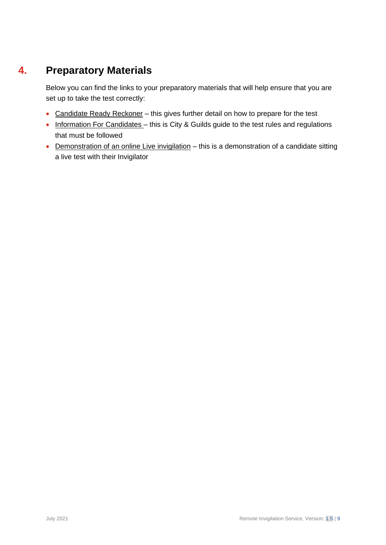### **4. Preparatory Materials**

<span id="page-9-0"></span>Below you can find the links to your preparatory materials that will help ensure that you are set up to take the test correctly:

- [Candidate Ready Reckoner](https://www.cityandguilds.com/~/media/cityandguilds-site/documents/miscellaneous/Candidate-ready-reckoner-pdf.pdf) this gives further detail on how to prepare for the test
- [Information For Candidates](https://static.talview.com/clients/city%20and%20guilds/Remote_Invigilation_Information_For_Candidates.pdf) this is City & Guilds guide to the test rules and regulations that must be followed
- [Demonstration of an online Live invigilation](https://youtu.be/UrST96-_fg0) this is a demonstration of a candidate sitting a live test with their Invigilator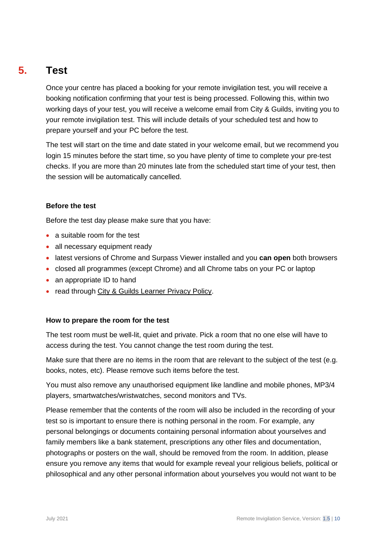### **5. Test**

<span id="page-10-0"></span>Once your centre has placed a booking for your remote invigilation test, you will receive a booking notification confirming that your test is being processed. Following this, within two working days of your test, you will receive a welcome email from City & Guilds, inviting you to your remote invigilation test. This will include details of your scheduled test and how to prepare yourself and your PC before the test.

The test will start on the time and date stated in your welcome email, but we recommend you login 15 minutes before the start time, so you have plenty of time to complete your pre-test checks. If you are more than 20 minutes late from the scheduled start time of your test, then the session will be automatically cancelled.

### **Before the test**

Before the test day please make sure that you have:

- a suitable room for the test
- all necessary equipment ready
- latest versions of Chrome and Surpass Viewer installed and you **can open** both browsers
- closed all programmes (except Chrome) and all Chrome tabs on your PC or laptop
- an appropriate ID to hand
- read through [City & Guilds Learner Privacy Policy.](https://www.cityandguilds.com/help/help-for-learners/learner-policy)

### **How to prepare the room for the test**

The test room must be well-lit, quiet and private. Pick a room that no one else will have to access during the test. You cannot change the test room during the test.

Make sure that there are no items in the room that are relevant to the subject of the test (e.g. books, notes, etc). Please remove such items before the test.

You must also remove any unauthorised equipment like landline and mobile phones, MP3/4 players, smartwatches/wristwatches, second monitors and TVs.

Please remember that the contents of the room will also be included in the recording of your test so is important to ensure there is nothing personal in the room. For example, any personal belongings or documents containing personal information about yourselves and family members like a bank statement, prescriptions any other files and documentation, photographs or posters on the wall, should be removed from the room. In addition, please ensure you remove any items that would for example reveal your religious beliefs, political or philosophical and any other personal information about yourselves you would not want to be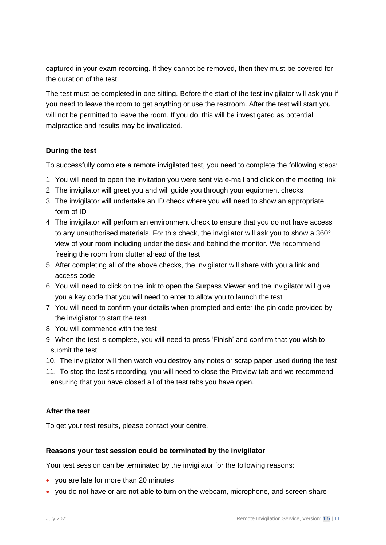captured in your exam recording. If they cannot be removed, then they must be covered for the duration of the test.

The test must be completed in one sitting. Before the start of the test invigilator will ask you if you need to leave the room to get anything or use the restroom. After the test will start you will not be permitted to leave the room. If you do, this will be investigated as potential malpractice and results may be invalidated.

### **During the test**

To successfully complete a remote invigilated test, you need to complete the following steps:

- 1. You will need to open the invitation you were sent via e-mail and click on the meeting link
- 2. The invigilator will greet you and will guide you through your equipment checks
- 3. The invigilator will undertake an ID check where you will need to show an appropriate form of ID
- 4. The invigilator will perform an environment check to ensure that you do not have access to any unauthorised materials. For this check, the invigilator will ask you to show a 360° view of your room including under the desk and behind the monitor. We recommend freeing the room from clutter ahead of the test
- 5. After completing all of the above checks, the invigilator will share with you a link and access code
- 6. You will need to click on the link to open the Surpass Viewer and the invigilator will give you a key code that you will need to enter to allow you to launch the test
- 7. You will need to confirm your details when prompted and enter the pin code provided by the invigilator to start the test
- 8. You will commence with the test
- 9. When the test is complete, you will need to press 'Finish' and confirm that you wish to submit the test
- 10. The invigilator will then watch you destroy any notes or scrap paper used during the test
- 11. To stop the test's recording, you will need to close the Proview tab and we recommend ensuring that you have closed all of the test tabs you have open.

### **After the test**

To get your test results, please contact your centre.

### **Reasons your test session could be terminated by the invigilator**

Your test session can be terminated by the invigilator for the following reasons:

- you are late for more than 20 minutes
- you do not have or are not able to turn on the webcam, microphone, and screen share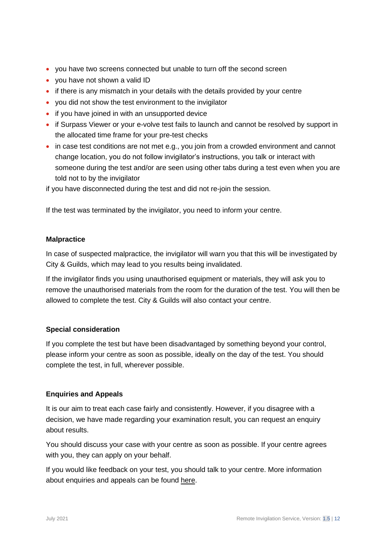- you have two screens connected but unable to turn off the second screen
- you have not shown a valid ID
- if there is any mismatch in your details with the details provided by your centre
- you did not show the test environment to the invigilator
- if you have joined in with an unsupported device
- if Surpass Viewer or your e-volve test fails to launch and cannot be resolved by support in the allocated time frame for your pre-test checks
- in case test conditions are not met e.g., you join from a crowded environment and cannot change location, you do not follow invigilator's instructions, you talk or interact with someone during the test and/or are seen using other tabs during a test even when you are told not to by the invigilator

if you have disconnected during the test and did not re-join the session.

If the test was terminated by the invigilator, you need to inform your centre.

### **Malpractice**

In case of suspected malpractice, the invigilator will warn you that this will be investigated by City & Guilds, which may lead to you results being invalidated.

If the invigilator finds you using unauthorised equipment or materials, they will ask you to remove the unauthorised materials from the room for the duration of the test. You will then be allowed to complete the test. City & Guilds will also contact your centre.

### **Special consideration**

If you complete the test but have been disadvantaged by something beyond your control, please inform your centre as soon as possible, ideally on the day of the test. You should complete the test, in full, wherever possible.

### **Enquiries and Appeals**

It is our aim to treat each case fairly and consistently. However, if you disagree with a decision, we have made regarding your examination result, you can request an enquiry about results.

You should discuss your case with your centre as soon as possible. If your centre agrees with you, they can apply on your behalf.

If you would like feedback on your test, you should talk to your centre. More information about enquiries and appeals can be found [here.](https://www.cityandguilds.com/help/help-for-learners/about-qualifications#appeal)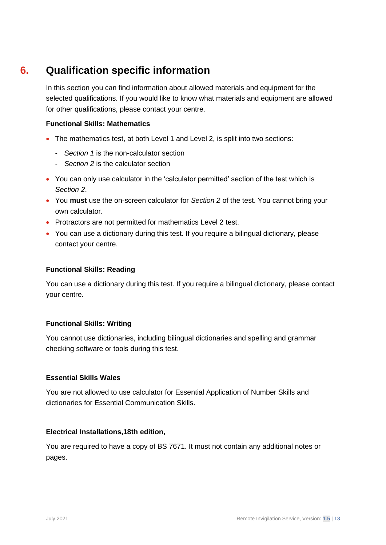### **6. Qualification specific information**

<span id="page-13-0"></span>In this section you can find information about allowed materials and equipment for the selected qualifications. If you would like to know what materials and equipment are allowed for other qualifications, please contact your centre.

### **Functional Skills: Mathematics**

- The mathematics test, at both Level 1 and Level 2, is split into two sections:
	- *Section 1* is the non-calculator section
	- *Section 2* is the calculator section
- You can only use calculator in the 'calculator permitted' section of the test which is *Section 2*.
- You **must** use the on-screen calculator for *Section 2* of the test. You cannot bring your own calculator.
- Protractors are not permitted for mathematics Level 2 test.
- You can use a dictionary during this test. If you require a bilingual dictionary, please contact your centre.

### **Functional Skills: Reading**

You can use a dictionary during this test. If you require a bilingual dictionary, please contact your centre.

### **Functional Skills: Writing**

You cannot use dictionaries, including bilingual dictionaries and spelling and grammar checking software or tools during this test.

### **Essential Skills Wales**

You are not allowed to use calculator for Essential Application of Number Skills and dictionaries for Essential Communication Skills.

### **Electrical Installations,18th edition,**

You are required to have a copy of BS 7671. It must not contain any additional notes or pages.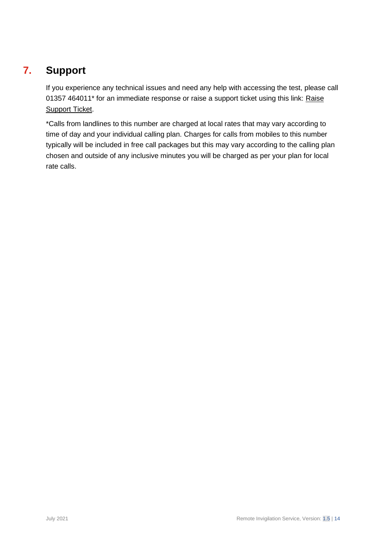### **7. Support**

<span id="page-14-0"></span>If you experience any technical issues and need any help with accessing the test, please call 01357 464011\* for an immediate response or raise a support ticket using this link: [Raise](https://talview.freshdesk.com/support/tickets/new)  [Support Ticket.](https://talview.freshdesk.com/support/tickets/new)

\*Calls from landlines to this number are charged at local rates that may vary according to time of day and your individual calling plan. Charges for calls from mobiles to this number typically will be included in free call packages but this may vary according to the calling plan chosen and outside of any inclusive minutes you will be charged as per your plan for local rate calls.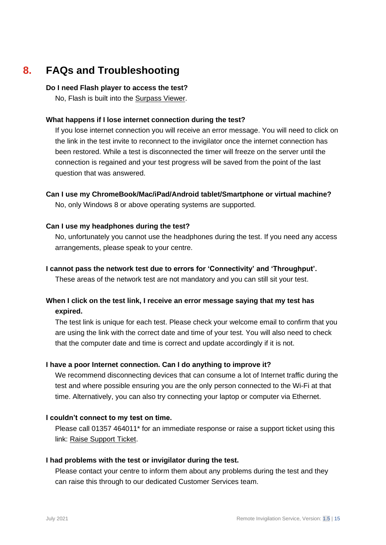### **8. FAQs and Troubleshooting**

#### <span id="page-15-0"></span>**Do I need Flash player to access the test?**

No, Flash is built into the [Surpass Viewer.](https://viewer.surpass.com/win32/Surpass%20ViewerSetup.exe)

### **What happens if I lose internet connection during the test?**

If you lose internet connection you will receive an error message. You will need to click on the link in the test invite to reconnect to the invigilator once the internet connection has been restored. While a test is disconnected the timer will freeze on the server until the connection is regained and your test progress will be saved from the point of the last question that was answered.

**Can I use my ChromeBook/Mac/iPad/Android tablet/Smartphone or virtual machine?** No, only Windows 8 or above operating systems are supported.

### **Can I use my headphones during the test?**

No, unfortunately you cannot use the headphones during the test. If you need any access arrangements, please speak to your centre.

#### **I cannot pass the network test due to errors for 'Connectivity' and 'Throughput'.**

These areas of the network test are not mandatory and you can still sit your test.

### **When I click on the test link, I receive an error message saying that my test has expired.**

The test link is unique for each test. Please check your welcome email to confirm that you are using the link with the correct date and time of your test. You will also need to check that the computer date and time is correct and update accordingly if it is not.

### **I have a poor Internet connection. Can I do anything to improve it?**

We recommend disconnecting devices that can consume a lot of Internet traffic during the test and where possible ensuring you are the only person connected to the Wi-Fi at that time. Alternatively, you can also try connecting your laptop or computer via Ethernet.

### **I couldn't connect to my test on time.**

Please call 01357 464011\* for an immediate response or raise a support ticket using this link: [Raise Support Ticket.](https://talview.freshdesk.com/support/tickets/new)

### **I had problems with the test or invigilator during the test.**

Please contact your centre to inform them about any problems during the test and they can raise this through to our dedicated Customer Services team.